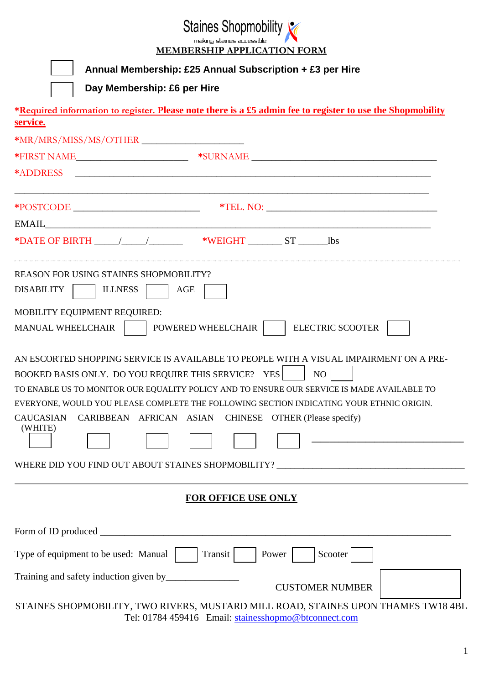| Staines Shopmobility V             |  |
|------------------------------------|--|
| making staines accessible          |  |
| <b>MEMBERSHIP APPLICATION FORM</b> |  |
|                                    |  |

|                          | Annual Membership: £25 Annual Subscription + £3 per Hire                                                                                            |
|--------------------------|-----------------------------------------------------------------------------------------------------------------------------------------------------|
|                          | Day Membership: £6 per Hire                                                                                                                         |
|                          | *Required information to register. Please note there is a £5 admin fee to register to use the Shopmobility                                          |
| service.                 |                                                                                                                                                     |
|                          |                                                                                                                                                     |
|                          |                                                                                                                                                     |
| <b>*ADDRESS</b>          | <u> 1989 - Johann Harry Harry Harry Harry Harry Harry Harry Harry Harry Harry Harry Harry Harry Harry Harry Harry</u>                               |
|                          |                                                                                                                                                     |
|                          |                                                                                                                                                     |
|                          |                                                                                                                                                     |
|                          | <b>REASON FOR USING STAINES SHOPMOBILITY?</b>                                                                                                       |
| <b>DISABILITY</b>        | <b>ILLNESS</b><br>AGE                                                                                                                               |
|                          | MOBILITY EQUIPMENT REQUIRED:                                                                                                                        |
| <b>MANUAL WHEELCHAIR</b> | POWERED WHEELCHAIR   ELECTRIC SCOOTER                                                                                                               |
|                          | AN ESCORTED SHOPPING SERVICE IS AVAILABLE TO PEOPLE WITH A VISUAL IMPAIRMENT ON A PRE-<br>BOOKED BASIS ONLY. DO YOU REQUIRE THIS SERVICE? YES<br>NO |
|                          | TO ENABLE US TO MONITOR OUR EQUALITY POLICY AND TO ENSURE OUR SERVICE IS MADE AVAILABLE TO                                                          |
|                          | EVERYONE, WOULD YOU PLEASE COMPLETE THE FOLLOWING SECTION INDICATING YOUR ETHNIC ORIGIN.                                                            |
|                          | CAUCASIAN CARIBBEAN AFRICAN ASIAN CHINESE OTHER (Please specify)                                                                                    |
| (WHITE)                  |                                                                                                                                                     |
|                          | WHERE DID YOU FIND OUT ABOUT STAINES SHOPMOBILITY? _____________________________                                                                    |
|                          | <b>FOR OFFICE USE ONLY</b>                                                                                                                          |
|                          |                                                                                                                                                     |
|                          |                                                                                                                                                     |
|                          | Type of equipment to be used: Manual<br>Transit<br>Power<br>Scooter                                                                                 |
|                          | <b>CUSTOMER NUMBER</b>                                                                                                                              |
|                          | CEARIEC CHONAODH FEV TWO DIVEDC MHCEADD MILL DOAD, CEARIEC HDOM THAMEC TWO                                                                          |

STAINES SHOPMOBILITY, TWO RIVERS, MUSTARD MILL ROAD, STAINES UPON THAMES TW18 4BL Tel: 01784 459416 Email: [stainesshopmo@btconnect.com](mailto:stainesshopmo@btconnect.com)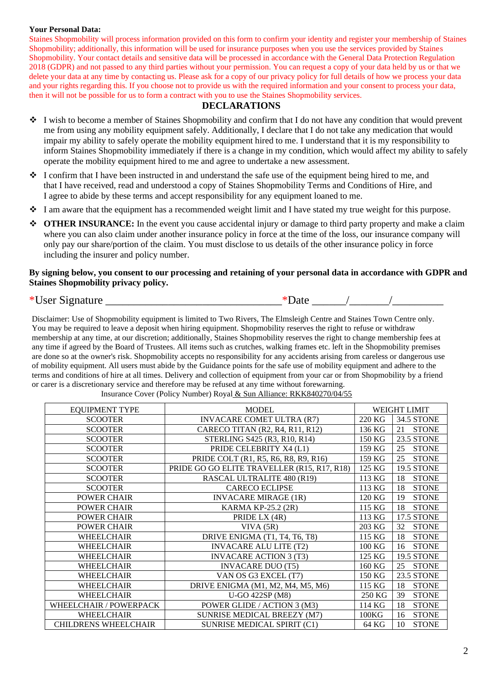#### **Your Personal Data:**

Staines Shopmobility will process information provided on this form to confirm your identity and register your membership of Staines Shopmobility; additionally, this information will be used for insurance purposes when you use the services provided by Staines Shopmobility. Your contact details and sensitive data will be processed in accordance with the General Data Protection Regulation 2018 (GDPR) and not passed to any third parties without your permission. You can request a copy of your data held by us or that we delete your data at any time by contacting us. Please ask for a copy of our privacy policy for full details of how we process your data and your rights regarding this. If you choose not to provide us with the required information and your consent to process your data, then it will not be possible for us to form a contract with you to use the Staines Shopmobility services.

### **DECLARATIONS**

- ❖ I wish to become a member of Staines Shopmobility and confirm that I do not have any condition that would prevent me from using any mobility equipment safely. Additionally, I declare that I do not take any medication that would impair my ability to safely operate the mobility equipment hired to me. I understand that it is my responsibility to inform Staines Shopmobility immediately if there is a change in my condition, which would affect my ability to safely operate the mobility equipment hired to me and agree to undertake a new assessment.
- ❖ I confirm that I have been instructed in and understand the safe use of the equipment being hired to me, and that I have received, read and understood a copy of Staines Shopmobility Terms and Conditions of Hire, and I agree to abide by these terms and accept responsibility for any equipment loaned to me.
- ❖ I am aware that the equipment has a recommended weight limit and I have stated my true weight for this purpose.
- ❖ **OTHER INSURANCE:** In the event you cause accidental injury or damage to third party property and make a claim where you can also claim under another insurance policy in force at the time of the loss, our insurance company will only pay our share/portion of the claim. You must disclose to us details of the other insurance policy in force including the insurer and policy number.

#### **By signing below, you consent to our processing and retaining of your personal data in accordance with GDPR and Staines Shopmobility privacy policy.**

# \*User Signature  $*$ Date  $\rightarrow$  /

Disclaimer: Use of Shopmobility equipment is limited to Two Rivers, The Elmsleigh Centre and Staines Town Centre only. You may be required to leave a deposit when hiring equipment. Shopmobility reserves the right to refuse or withdraw membership at any time, at our discretion; additionally, Staines Shopmobility reserves the right to change membership fees at any time if agreed by the Board of Trustees. All items such as crutches, walking frames etc. left in the Shopmobility premises are done so at the owner's risk. Shopmobility accepts no responsibility for any accidents arising from careless or dangerous use of mobility equipment. All users must abide by the Guidance points for the safe use of mobility equipment and adhere to the terms and conditions of hire at all times. Delivery and collection of equipment from your car or from Shopmobility by a friend or carer is a discretionary service and therefore may be refused at any time without forewarning.

Insurance Cover (Policy Number) Royal & Sun Alliance: RKK840270/04/55

| <b>EQUIPMENT TYPE</b>       | <b>MODEL</b>                                |          | <b>WEIGHT LIMIT</b> |
|-----------------------------|---------------------------------------------|----------|---------------------|
| <b>SCOOTER</b>              | <b>INVACARE COMET ULTRA (R7)</b>            | 220 KG   | <b>34.5 STONE</b>   |
| <b>SCOOTER</b>              | CARECO TITAN (R2, R4, R11, R12)             | 136 KG   | <b>STONE</b><br>21  |
| <b>SCOOTER</b>              | STERLING S425 (R3, R10, R14)                | 150 KG   | 23.5 STONE          |
| <b>SCOOTER</b>              | PRIDE CELEBRITY X4 (L1)                     | 159 KG   | <b>STONE</b><br>25  |
| <b>SCOOTER</b>              | PRIDE COLT (R1, R5, R6, R8, R9, R16)        | 159 KG   | 25<br><b>STONE</b>  |
| <b>SCOOTER</b>              | PRIDE GO GO ELITE TRAVELLER (R15, R17, R18) | 125 KG   | 19.5 STONE          |
| <b>SCOOTER</b>              | RASCAL ULTRALITE 480 (R19)                  | 113 KG   | 18<br><b>STONE</b>  |
| <b>SCOOTER</b>              | <b>CARECO ECLIPSE</b>                       | 113 KG   | 18<br><b>STONE</b>  |
| <b>POWER CHAIR</b>          | <b>INVACARE MIRAGE (1R)</b>                 | 120 KG   | <b>STONE</b><br>19  |
| <b>POWER CHAIR</b>          | <b>KARMA KP-25.2 (2R)</b>                   | 115 KG   | 18<br><b>STONE</b>  |
| <b>POWER CHAIR</b>          | PRIDE LX (4R)                               | 113 KG   | <b>17.5 STONE</b>   |
| <b>POWER CHAIR</b>          | VIVA(5R)                                    | 203 KG   | 32<br><b>STONE</b>  |
| <b>WHEELCHAIR</b>           | DRIVE ENIGMA (T1, T4, T6, T8)               | 115 KG   | 18<br><b>STONE</b>  |
| <b>WHEELCHAIR</b>           | <b>INVACARE ALU LITE (T2)</b>               | 100 KG   | <b>STONE</b><br>16  |
| <b>WHEELCHAIR</b>           | <b>INVACARE ACTION 3 (T3)</b>               | 125 KG   | <b>19.5 STONE</b>   |
| <b>WHEELCHAIR</b>           | <b>INVACARE DUO (T5)</b>                    | 160 KG   | <b>STONE</b><br>25  |
| <b>WHEELCHAIR</b>           | VAN OS G3 EXCEL (T7)                        | 150 KG   | 23.5 STONE          |
| <b>WHEELCHAIR</b>           | DRIVE ENIGMA (M1, M2, M4, M5, M6)           | 115 KG   | <b>STONE</b><br>18  |
| <b>WHEELCHAIR</b>           | U-GO 422SP (M8)                             | 250 KG   | <b>STONE</b><br>39  |
| WHEELCHAIR / POWERPACK      | POWER GLIDE / ACTION 3 (M3)                 | 114 KG   | 18<br><b>STONE</b>  |
| <b>WHEELCHAIR</b>           | SUNRISE MEDICAL BREEZY (M7)                 | $100K$ G | <b>STONE</b><br>16  |
| <b>CHILDRENS WHEELCHAIR</b> | SUNRISE MEDICAL SPIRIT (C1)                 | 64 KG    | <b>STONE</b><br>10  |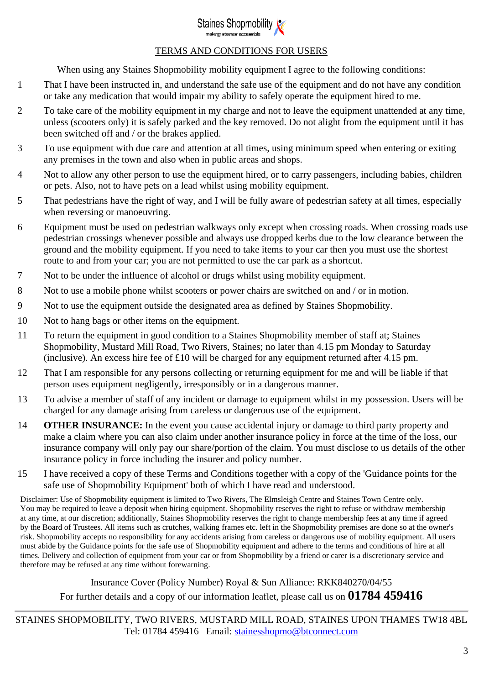

## TERMS AND CONDITIONS FOR USERS

When using any Staines Shopmobility mobility equipment I agree to the following conditions:

- 1 That I have been instructed in, and understand the safe use of the equipment and do not have any condition or take any medication that would impair my ability to safely operate the equipment hired to me.
- 2 To take care of the mobility equipment in my charge and not to leave the equipment unattended at any time, unless (scooters only) it is safely parked and the key removed. Do not alight from the equipment until it has been switched off and / or the brakes applied.
- 3 To use equipment with due care and attention at all times, using minimum speed when entering or exiting any premises in the town and also when in public areas and shops.
- 4 Not to allow any other person to use the equipment hired, or to carry passengers, including babies, children or pets. Also, not to have pets on a lead whilst using mobility equipment.
- 5 That pedestrians have the right of way, and I will be fully aware of pedestrian safety at all times, especially when reversing or manoeuvring.
- 6 Equipment must be used on pedestrian walkways only except when crossing roads. When crossing roads use pedestrian crossings whenever possible and always use dropped kerbs due to the low clearance between the ground and the mobility equipment. If you need to take items to your car then you must use the shortest route to and from your car; you are not permitted to use the car park as a shortcut.
- 7 Not to be under the influence of alcohol or drugs whilst using mobility equipment.
- 8 Not to use a mobile phone whilst scooters or power chairs are switched on and / or in motion.
- 9 Not to use the equipment outside the designated area as defined by Staines Shopmobility.
- 10 Not to hang bags or other items on the equipment.
- 11 To return the equipment in good condition to a Staines Shopmobility member of staff at; Staines Shopmobility, Mustard Mill Road, Two Rivers, Staines; no later than 4.15 pm Monday to Saturday (inclusive). An excess hire fee of £10 will be charged for any equipment returned after 4.15 pm.
- 12 That I am responsible for any persons collecting or returning equipment for me and will be liable if that person uses equipment negligently, irresponsibly or in a dangerous manner.
- 13 To advise a member of staff of any incident or damage to equipment whilst in my possession. Users will be charged for any damage arising from careless or dangerous use of the equipment.
- 14 **OTHER INSURANCE:** In the event you cause accidental injury or damage to third party property and make a claim where you can also claim under another insurance policy in force at the time of the loss, our insurance company will only pay our share/portion of the claim. You must disclose to us details of the other insurance policy in force including the insurer and policy number.
- 15 I have received a copy of these Terms and Conditions together with a copy of the 'Guidance points for the safe use of Shopmobility Equipment' both of which I have read and understood.

Disclaimer: Use of Shopmobility equipment is limited to Two Rivers, The Elmsleigh Centre and Staines Town Centre only. You may be required to leave a deposit when hiring equipment. Shopmobility reserves the right to refuse or withdraw membership at any time, at our discretion; additionally, Staines Shopmobility reserves the right to change membership fees at any time if agreed by the Board of Trustees. All items such as crutches, walking frames etc. left in the Shopmobility premises are done so at the owner's risk. Shopmobility accepts no responsibility for any accidents arising from careless or dangerous use of mobility equipment. All users must abide by the Guidance points for the safe use of Shopmobility equipment and adhere to the terms and conditions of hire at all times. Delivery and collection of equipment from your car or from Shopmobility by a friend or carer is a discretionary service and therefore may be refused at any time without forewarning.

Insurance Cover (Policy Number) Royal & Sun Alliance: RKK840270/04/55 For further details and a copy of our information leaflet, please call us on **01784 459416**

STAINES SHOPMOBILITY, TWO RIVERS, MUSTARD MILL ROAD, STAINES UPON THAMES TW18 4BL Tel: 01784 459416 Email: [stainesshopmo@btconnect.com](mailto:stainesshopmo@btconnect.com)